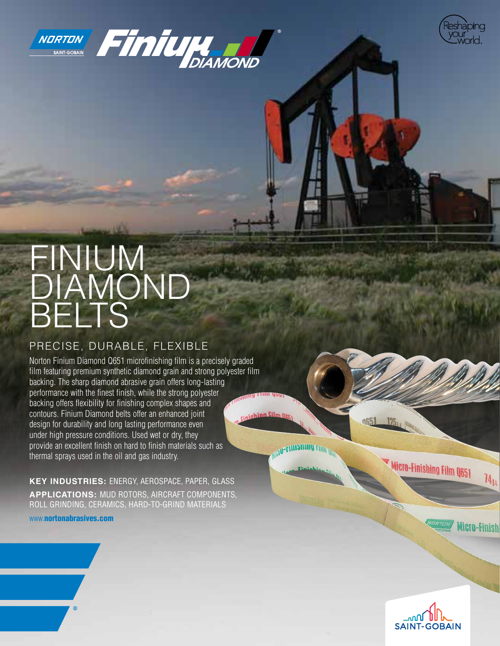





# FINIUM DIAMOND BELTS

### PRECISE, DURABLE, FLEXIBLE

Norton Finium Diamond Q651 microfinishing film is a precisely graded film featuring premium synthetic diamond grain and strong polyester film backing. The sharp diamond abrasive grain offers long-lasting performance with the finest finish, while the strong polyester backing offers flexibility for finishing complex shapes and contours. Finium Diamond belts offer an enhanced joint injehing Eilm O design for durability and long lasting performance even under high pressure conditions. Used wet or dry, they provide an excellent finish on hard to finish materials such as thermal sprays used in the oil and gas industry.

**KEY INDUSTRIES:** ENERGY, AEROSPACE, PAPER, GLASS **APPLICATIONS:** MUD ROTORS, AIRCRAFT COMPONENTS, ROLL GRINDING, CERAMICS, HARD-TO-GRIND MATERIALS

www.[nortonabrasives.com](http://www.nortonabrasives.com/en-us)

**AU-FINISHING FINI** 

Micro-Finishing Film Q651

 $\eta_\mu$ 

Micro-Finish

 $125<sub>U</sub>$ 

0651

൶ഽ **SAINT-GOBAIN**